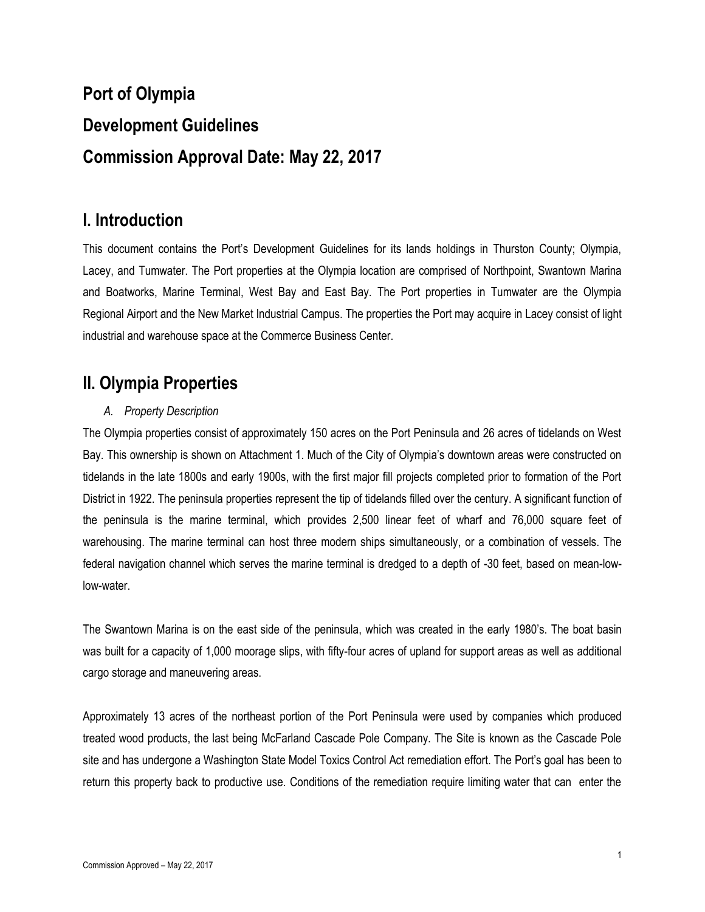# **Port of Olympia Development Guidelines Commission Approval Date: May 22, 2017**

# **I. Introduction**

This document contains the Port's Development Guidelines for its lands holdings in Thurston County; Olympia, Lacey, and Tumwater. The Port properties at the Olympia location are comprised of Northpoint, Swantown Marina and Boatworks, Marine Terminal, West Bay and East Bay. The Port properties in Tumwater are the Olympia Regional Airport and the New Market Industrial Campus. The properties the Port may acquire in Lacey consist of light industrial and warehouse space at the Commerce Business Center.

# **II. Olympia Properties**

# *A. Property Description*

The Olympia properties consist of approximately 150 acres on the Port Peninsula and 26 acres of tidelands on West Bay. This ownership is shown on Attachment 1. Much of the City of Olympia's downtown areas were constructed on tidelands in the late 1800s and early 1900s, with the first major fill projects completed prior to formation of the Port District in 1922. The peninsula properties represent the tip of tidelands filled over the century. A significant function of the peninsula is the marine terminal, which provides 2,500 linear feet of wharf and 76,000 square feet of warehousing. The marine terminal can host three modern ships simultaneously, or a combination of vessels. The federal navigation channel which serves the marine terminal is dredged to a depth of -30 feet, based on mean-lowlow-water.

The Swantown Marina is on the east side of the peninsula, which was created in the early 1980's. The boat basin was built for a capacity of 1,000 moorage slips, with fifty-four acres of upland for support areas as well as additional cargo storage and maneuvering areas.

Approximately 13 acres of the northeast portion of the Port Peninsula were used by companies which produced treated wood products, the last being McFarland Cascade Pole Company. The Site is known as the Cascade Pole site and has undergone a Washington State Model Toxics Control Act remediation effort. The Port's goal has been to return this property back to productive use. Conditions of the remediation require limiting water that can enter the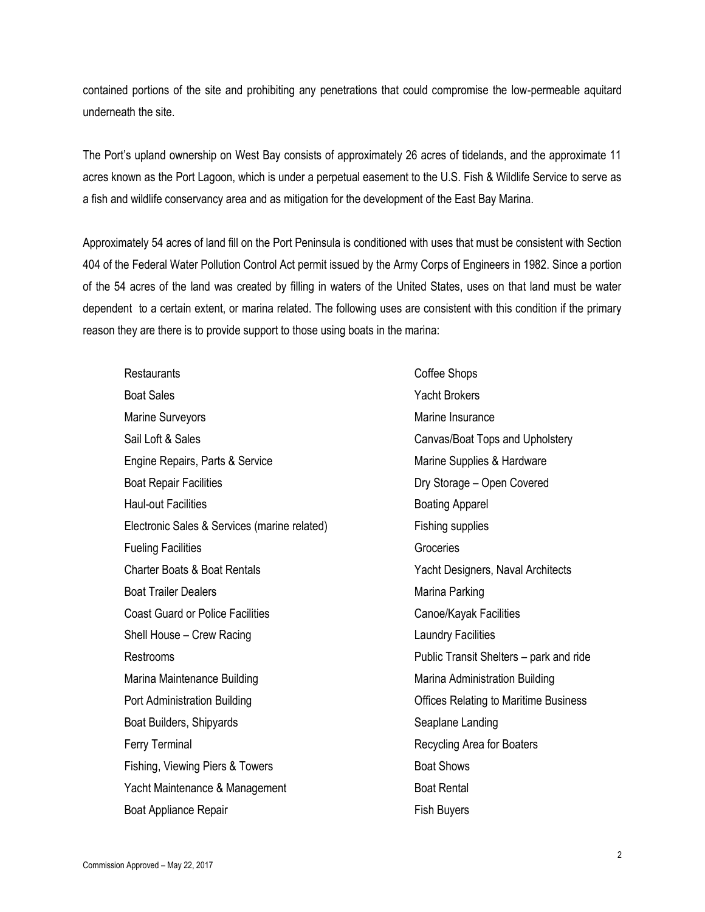contained portions of the site and prohibiting any penetrations that could compromise the low-permeable aquitard underneath the site.

The Port's upland ownership on West Bay consists of approximately 26 acres of tidelands, and the approximate 11 acres known as the Port Lagoon, which is under a perpetual easement to the U.S. Fish & Wildlife Service to serve as a fish and wildlife conservancy area and as mitigation for the development of the East Bay Marina.

Approximately 54 acres of land fill on the Port Peninsula is conditioned with uses that must be consistent with Section 404 of the Federal Water Pollution Control Act permit issued by the Army Corps of Engineers in 1982. Since a portion of the 54 acres of the land was created by filling in waters of the United States, uses on that land must be water dependent to a certain extent, or marina related. The following uses are consistent with this condition if the primary reason they are there is to provide support to those using boats in the marina:

Restaurants **Coffee Shops** Boat Sales Yacht Brokers Marine Surveyors **Marine Insurance** Marine Insurance Sail Loft & Sales Canvas/Boat Tops and Upholstery Engine Repairs, Parts & Service **Marine Supplies & Hardware** Marine Supplies & Hardware Boat Repair Facilities **Branch Englisher Covered** Facilities **Dry Storage – Open Covered** Haul-out Facilities **Boating Apparel** Electronic Sales & Services (marine related) Fishing supplies Fueling Facilities **Groceries** Groceries Charter Boats & Boat Rentals **The Charter Boats & Boat Rentals** Yacht Designers, Naval Architects Boat Trailer Dealers **Marina Parking** Boat Trailer Dealers Marina Parking Coast Guard or Police Facilities Coast Canoe/Kayak Facilities Shell House – Crew Racing Laundry Facilities Restrooms Public Transit Shelters – park and ride Marina Maintenance Building Marina Administration Building Port Administration Building **Network 1988** Offices Relating to Maritime Business Boat Builders, Shipyards Seaplane Landing Ferry Terminal **Recycling Area for Boaters** Recycling Area for Boaters Fishing, Viewing Piers & Towers **Boat Shows** Boat Shows Yacht Maintenance & Management Boat Rental Boat Appliance Repair Fish Buyers Fish Buyers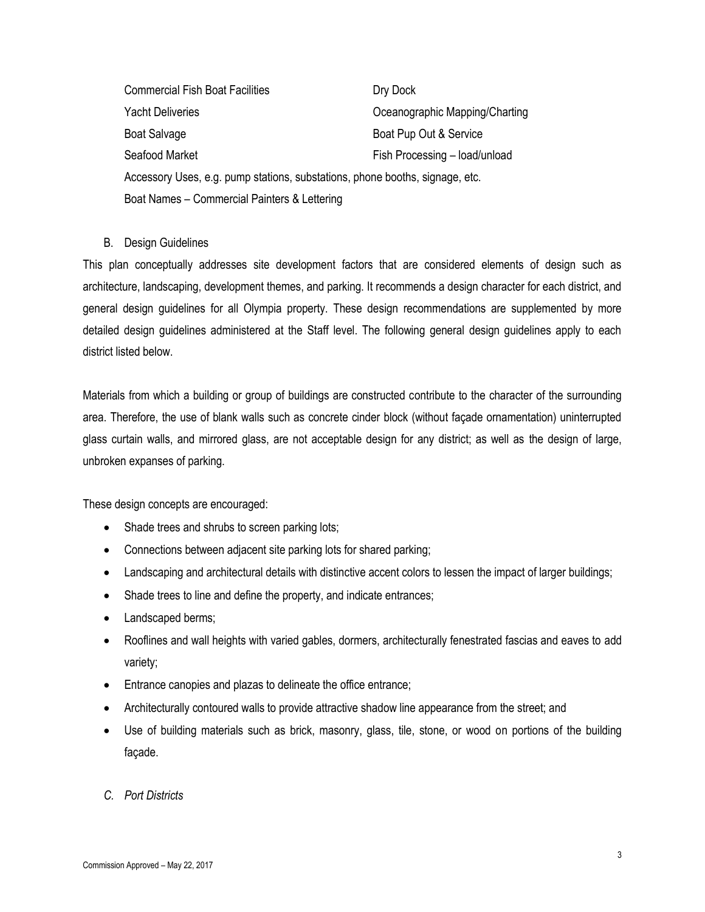Commercial Fish Boat Facilities **Dry Dock** Yacht Deliveries **The Community Community** Oceanographic Mapping/Charting Boat Salvage Boat Pup Out & Service Seafood Market Fish Processing – load/unload Accessory Uses, e.g. pump stations, substations, phone booths, signage, etc. Boat Names – Commercial Painters & Lettering

#### B. Design Guidelines

This plan conceptually addresses site development factors that are considered elements of design such as architecture, landscaping, development themes, and parking. It recommends a design character for each district, and general design guidelines for all Olympia property. These design recommendations are supplemented by more detailed design guidelines administered at the Staff level. The following general design guidelines apply to each district listed below.

Materials from which a building or group of buildings are constructed contribute to the character of the surrounding area. Therefore, the use of blank walls such as concrete cinder block (without façade ornamentation) uninterrupted glass curtain walls, and mirrored glass, are not acceptable design for any district; as well as the design of large, unbroken expanses of parking.

These design concepts are encouraged:

- Shade trees and shrubs to screen parking lots;
- Connections between adjacent site parking lots for shared parking;
- Landscaping and architectural details with distinctive accent colors to lessen the impact of larger buildings;
- Shade trees to line and define the property, and indicate entrances;
- Landscaped berms;
- Rooflines and wall heights with varied gables, dormers, architecturally fenestrated fascias and eaves to add variety;
- Entrance canopies and plazas to delineate the office entrance;
- Architecturally contoured walls to provide attractive shadow line appearance from the street; and
- Use of building materials such as brick, masonry, glass, tile, stone, or wood on portions of the building façade.
- *C. Port Districts*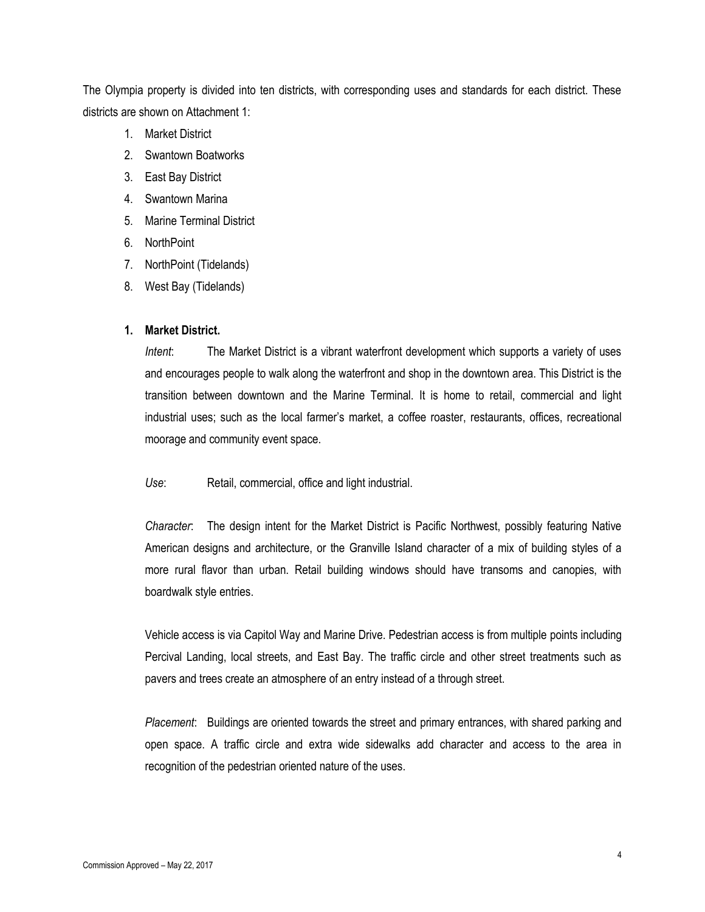The Olympia property is divided into ten districts, with corresponding uses and standards for each district. These districts are shown on Attachment 1:

- 1. Market District
- 2. Swantown Boatworks
- 3. East Bay District
- 4. Swantown Marina
- 5. Marine Terminal District
- 6. NorthPoint
- 7. NorthPoint (Tidelands)
- 8. West Bay (Tidelands)

#### **1. Market District.**

*Intent*: The Market District is a vibrant waterfront development which supports a variety of uses and encourages people to walk along the waterfront and shop in the downtown area. This District is the transition between downtown and the Marine Terminal. It is home to retail, commercial and light industrial uses; such as the local farmer's market, a coffee roaster, restaurants, offices, recreational moorage and community event space.

*Use*: Retail, commercial, office and light industrial.

*Character*: The design intent for the Market District is Pacific Northwest, possibly featuring Native American designs and architecture, or the Granville Island character of a mix of building styles of a more rural flavor than urban. Retail building windows should have transoms and canopies, with boardwalk style entries.

Vehicle access is via Capitol Way and Marine Drive. Pedestrian access is from multiple points including Percival Landing, local streets, and East Bay. The traffic circle and other street treatments such as pavers and trees create an atmosphere of an entry instead of a through street.

*Placement*: Buildings are oriented towards the street and primary entrances, with shared parking and open space. A traffic circle and extra wide sidewalks add character and access to the area in recognition of the pedestrian oriented nature of the uses.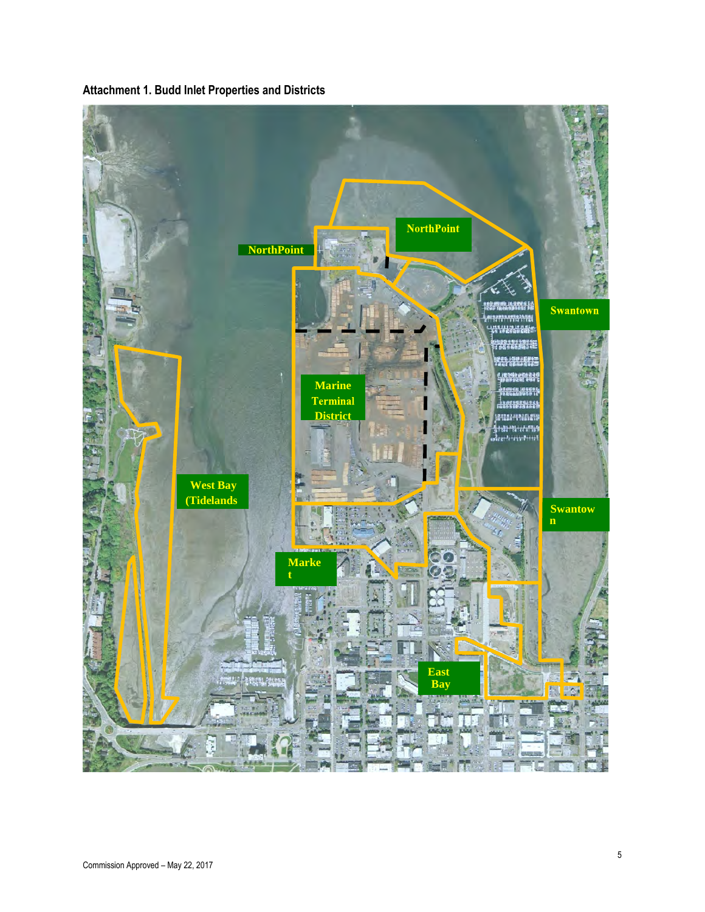

**Attachment 1. Budd Inlet Properties and Districts**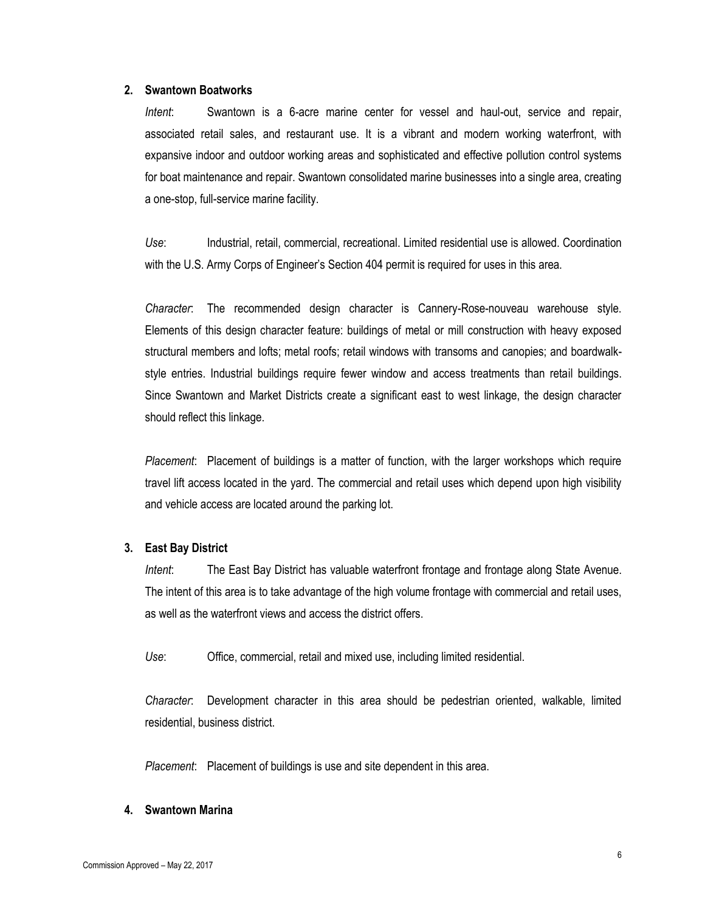#### **2. Swantown Boatworks**

*Intent*: Swantown is a 6-acre marine center for vessel and haul-out, service and repair, associated retail sales, and restaurant use. It is a vibrant and modern working waterfront, with expansive indoor and outdoor working areas and sophisticated and effective pollution control systems for boat maintenance and repair. Swantown consolidated marine businesses into a single area, creating a one-stop, full-service marine facility.

*Use*: Industrial, retail, commercial, recreational. Limited residential use is allowed. Coordination with the U.S. Army Corps of Engineer's Section 404 permit is required for uses in this area.

*Character*: The recommended design character is Cannery-Rose-nouveau warehouse style. Elements of this design character feature: buildings of metal or mill construction with heavy exposed structural members and lofts; metal roofs; retail windows with transoms and canopies; and boardwalkstyle entries. Industrial buildings require fewer window and access treatments than retail buildings. Since Swantown and Market Districts create a significant east to west linkage, the design character should reflect this linkage.

*Placement*: Placement of buildings is a matter of function, with the larger workshops which require travel lift access located in the yard. The commercial and retail uses which depend upon high visibility and vehicle access are located around the parking lot.

#### **3. East Bay District**

*Intent*: The East Bay District has valuable waterfront frontage and frontage along State Avenue. The intent of this area is to take advantage of the high volume frontage with commercial and retail uses, as well as the waterfront views and access the district offers.

*Use*: Office, commercial, retail and mixed use, including limited residential.

*Character*: Development character in this area should be pedestrian oriented, walkable, limited residential, business district.

*Placement*: Placement of buildings is use and site dependent in this area.

#### **4. Swantown Marina**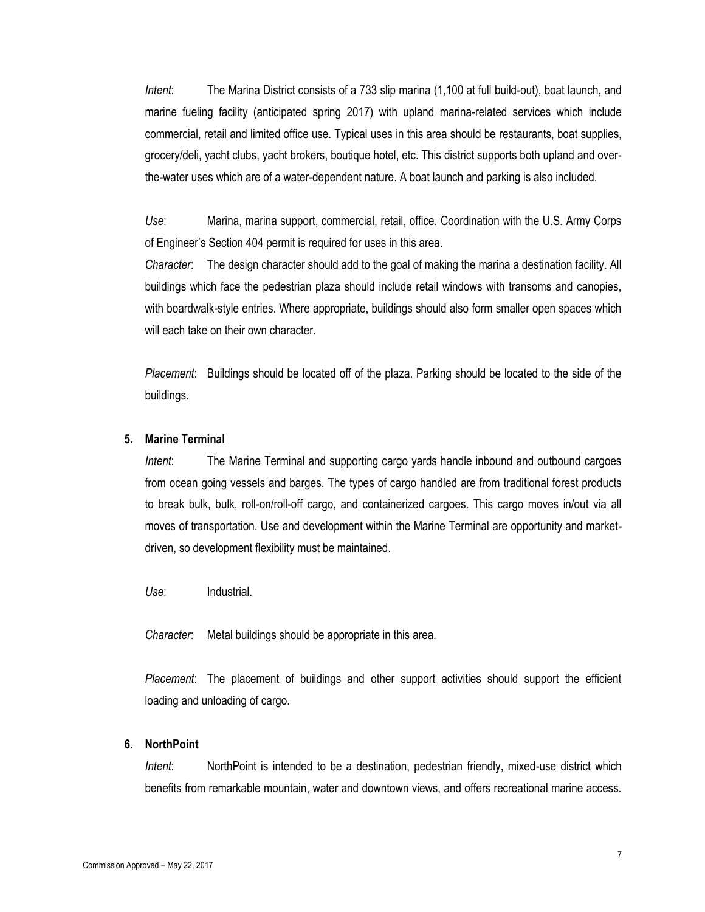*Intent*: The Marina District consists of a 733 slip marina (1,100 at full build-out), boat launch, and marine fueling facility (anticipated spring 2017) with upland marina-related services which include commercial, retail and limited office use. Typical uses in this area should be restaurants, boat supplies, grocery/deli, yacht clubs, yacht brokers, boutique hotel, etc. This district supports both upland and overthe-water uses which are of a water-dependent nature. A boat launch and parking is also included.

*Use*: Marina, marina support, commercial, retail, office. Coordination with the U.S. Army Corps of Engineer's Section 404 permit is required for uses in this area.

*Character*: The design character should add to the goal of making the marina a destination facility. All buildings which face the pedestrian plaza should include retail windows with transoms and canopies, with boardwalk-style entries. Where appropriate, buildings should also form smaller open spaces which will each take on their own character.

*Placement*: Buildings should be located off of the plaza. Parking should be located to the side of the buildings.

#### **5. Marine Terminal**

*Intent*: The Marine Terminal and supporting cargo yards handle inbound and outbound cargoes from ocean going vessels and barges. The types of cargo handled are from traditional forest products to break bulk, bulk, roll-on/roll-off cargo, and containerized cargoes. This cargo moves in/out via all moves of transportation. Use and development within the Marine Terminal are opportunity and marketdriven, so development flexibility must be maintained.

*Use*: Industrial.

*Character*: Metal buildings should be appropriate in this area.

*Placement*: The placement of buildings and other support activities should support the efficient loading and unloading of cargo.

#### **6. NorthPoint**

*Intent*: NorthPoint is intended to be a destination, pedestrian friendly, mixed-use district which benefits from remarkable mountain, water and downtown views, and offers recreational marine access.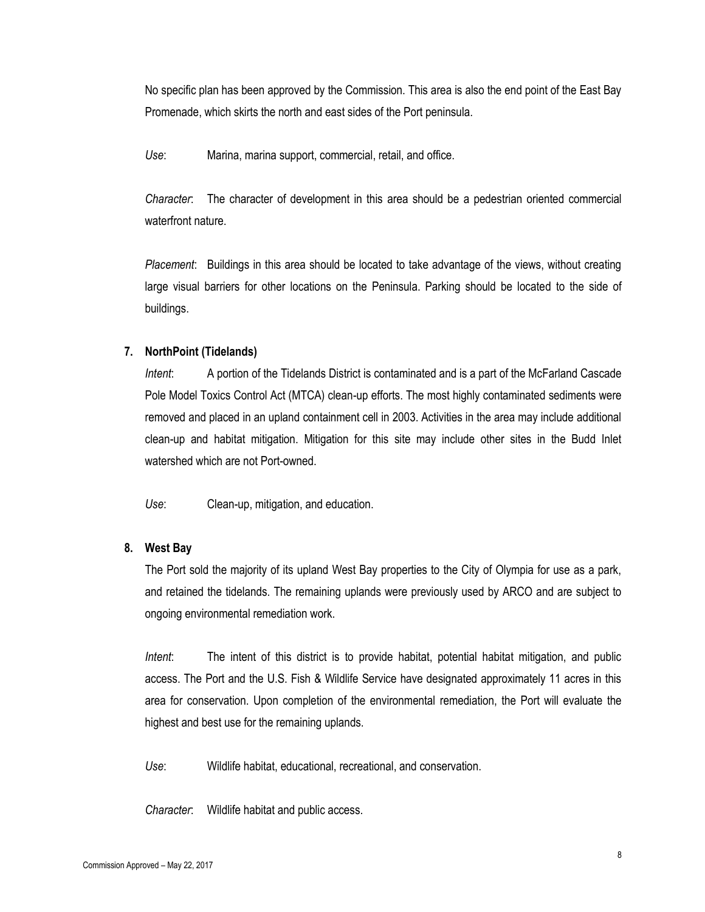No specific plan has been approved by the Commission. This area is also the end point of the East Bay Promenade, which skirts the north and east sides of the Port peninsula.

*Use*: Marina, marina support, commercial, retail, and office.

*Character*: The character of development in this area should be a pedestrian oriented commercial waterfront nature.

*Placement*: Buildings in this area should be located to take advantage of the views, without creating large visual barriers for other locations on the Peninsula. Parking should be located to the side of buildings.

#### **7. NorthPoint (Tidelands)**

*Intent*: A portion of the Tidelands District is contaminated and is a part of the McFarland Cascade Pole Model Toxics Control Act (MTCA) clean-up efforts. The most highly contaminated sediments were removed and placed in an upland containment cell in 2003. Activities in the area may include additional clean-up and habitat mitigation. Mitigation for this site may include other sites in the Budd Inlet watershed which are not Port-owned.

*Use*: Clean-up, mitigation, and education.

#### **8. West Bay**

The Port sold the majority of its upland West Bay properties to the City of Olympia for use as a park, and retained the tidelands. The remaining uplands were previously used by ARCO and are subject to ongoing environmental remediation work.

*Intent*: The intent of this district is to provide habitat, potential habitat mitigation, and public access. The Port and the U.S. Fish & Wildlife Service have designated approximately 11 acres in this area for conservation. Upon completion of the environmental remediation, the Port will evaluate the highest and best use for the remaining uplands.

*Use*: Wildlife habitat, educational, recreational, and conservation.

*Character*: Wildlife habitat and public access.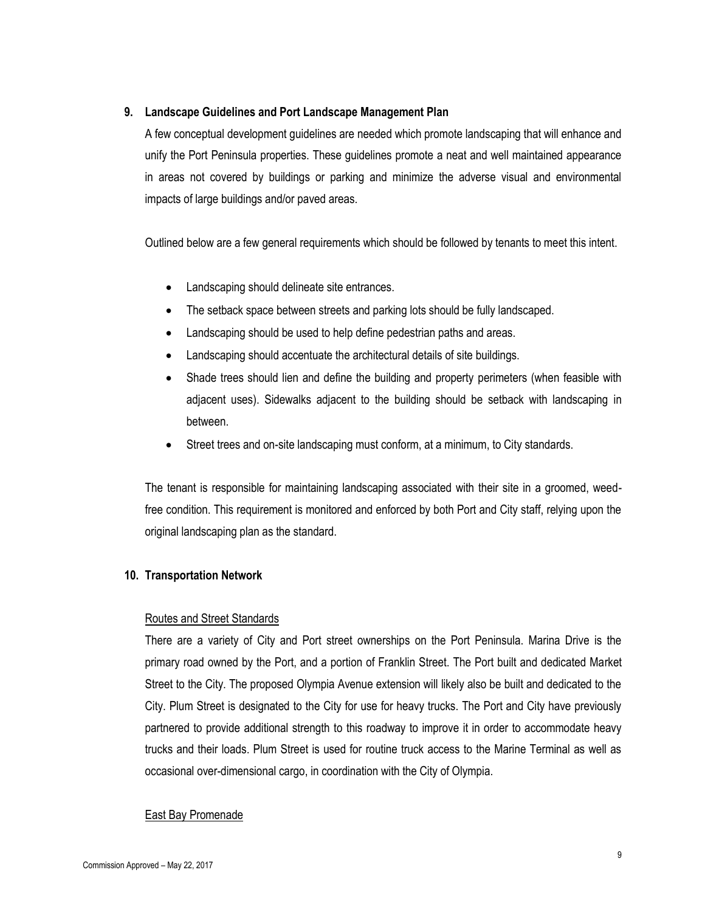#### **9. Landscape Guidelines and Port Landscape Management Plan**

A few conceptual development guidelines are needed which promote landscaping that will enhance and unify the Port Peninsula properties. These guidelines promote a neat and well maintained appearance in areas not covered by buildings or parking and minimize the adverse visual and environmental impacts of large buildings and/or paved areas.

Outlined below are a few general requirements which should be followed by tenants to meet this intent.

- Landscaping should delineate site entrances.
- The setback space between streets and parking lots should be fully landscaped.
- Landscaping should be used to help define pedestrian paths and areas.
- Landscaping should accentuate the architectural details of site buildings.
- Shade trees should lien and define the building and property perimeters (when feasible with adjacent uses). Sidewalks adjacent to the building should be setback with landscaping in between.
- Street trees and on-site landscaping must conform, at a minimum, to City standards.

The tenant is responsible for maintaining landscaping associated with their site in a groomed, weedfree condition. This requirement is monitored and enforced by both Port and City staff, relying upon the original landscaping plan as the standard.

#### **10. Transportation Network**

#### Routes and Street Standards

There are a variety of City and Port street ownerships on the Port Peninsula. Marina Drive is the primary road owned by the Port, and a portion of Franklin Street. The Port built and dedicated Market Street to the City. The proposed Olympia Avenue extension will likely also be built and dedicated to the City. Plum Street is designated to the City for use for heavy trucks. The Port and City have previously partnered to provide additional strength to this roadway to improve it in order to accommodate heavy trucks and their loads. Plum Street is used for routine truck access to the Marine Terminal as well as occasional over-dimensional cargo, in coordination with the City of Olympia.

#### East Bay Promenade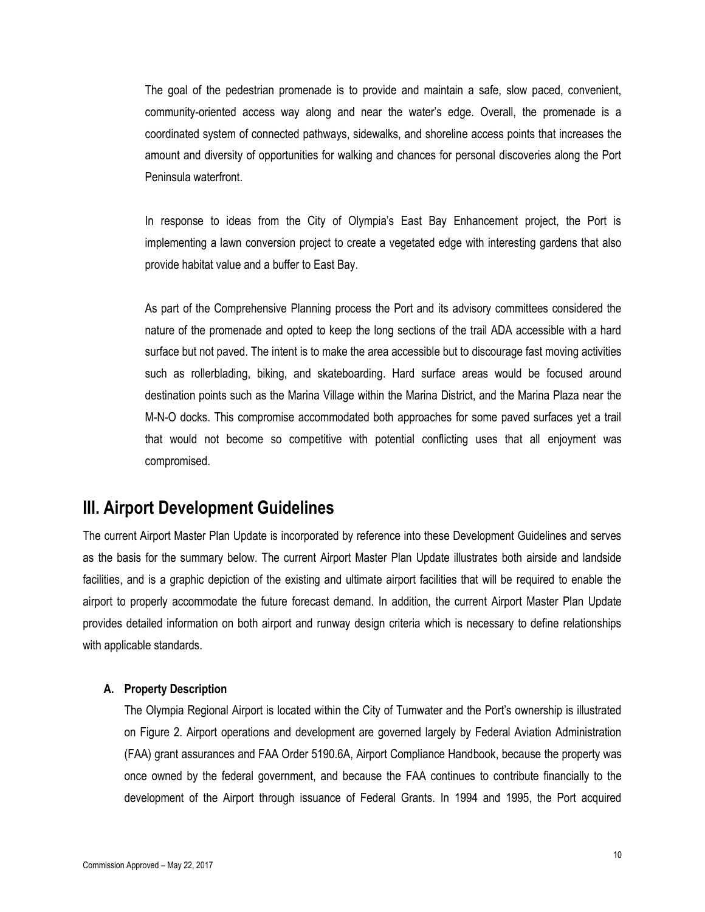The goal of the pedestrian promenade is to provide and maintain a safe, slow paced, convenient, community-oriented access way along and near the water's edge. Overall, the promenade is a coordinated system of connected pathways, sidewalks, and shoreline access points that increases the amount and diversity of opportunities for walking and chances for personal discoveries along the Port Peninsula waterfront.

In response to ideas from the City of Olympia's East Bay Enhancement project, the Port is implementing a lawn conversion project to create a vegetated edge with interesting gardens that also provide habitat value and a buffer to East Bay.

As part of the Comprehensive Planning process the Port and its advisory committees considered the nature of the promenade and opted to keep the long sections of the trail ADA accessible with a hard surface but not paved. The intent is to make the area accessible but to discourage fast moving activities such as rollerblading, biking, and skateboarding. Hard surface areas would be focused around destination points such as the Marina Village within the Marina District, and the Marina Plaza near the M-N-O docks. This compromise accommodated both approaches for some paved surfaces yet a trail that would not become so competitive with potential conflicting uses that all enjoyment was compromised.

# **III. Airport Development Guidelines**

The current Airport Master Plan Update is incorporated by reference into these Development Guidelines and serves as the basis for the summary below. The current Airport Master Plan Update illustrates both airside and landside facilities, and is a graphic depiction of the existing and ultimate airport facilities that will be required to enable the airport to properly accommodate the future forecast demand. In addition, the current Airport Master Plan Update provides detailed information on both airport and runway design criteria which is necessary to define relationships with applicable standards.

#### **A. Property Description**

The Olympia Regional Airport is located within the City of Tumwater and the Port's ownership is illustrated on Figure 2. Airport operations and development are governed largely by Federal Aviation Administration (FAA) grant assurances and FAA Order 5190.6A, Airport Compliance Handbook, because the property was once owned by the federal government, and because the FAA continues to contribute financially to the development of the Airport through issuance of Federal Grants. In 1994 and 1995, the Port acquired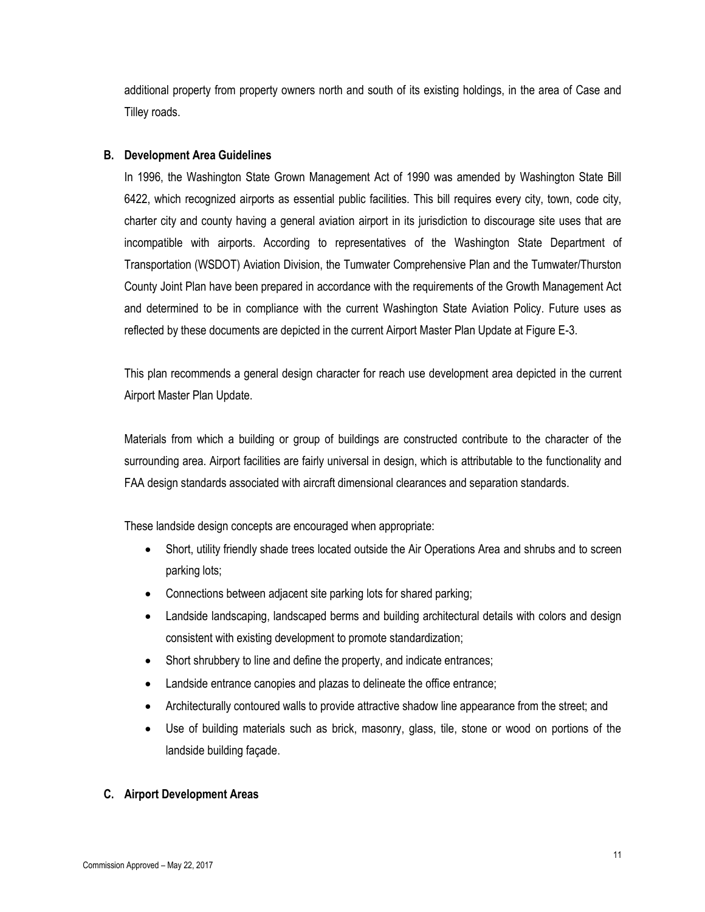additional property from property owners north and south of its existing holdings, in the area of Case and Tilley roads.

#### **B. Development Area Guidelines**

In 1996, the Washington State Grown Management Act of 1990 was amended by Washington State Bill 6422, which recognized airports as essential public facilities. This bill requires every city, town, code city, charter city and county having a general aviation airport in its jurisdiction to discourage site uses that are incompatible with airports. According to representatives of the Washington State Department of Transportation (WSDOT) Aviation Division, the Tumwater Comprehensive Plan and the Tumwater/Thurston County Joint Plan have been prepared in accordance with the requirements of the Growth Management Act and determined to be in compliance with the current Washington State Aviation Policy. Future uses as reflected by these documents are depicted in the current Airport Master Plan Update at Figure E-3.

This plan recommends a general design character for reach use development area depicted in the current Airport Master Plan Update.

Materials from which a building or group of buildings are constructed contribute to the character of the surrounding area. Airport facilities are fairly universal in design, which is attributable to the functionality and FAA design standards associated with aircraft dimensional clearances and separation standards.

These landside design concepts are encouraged when appropriate:

- Short, utility friendly shade trees located outside the Air Operations Area and shrubs and to screen parking lots;
- Connections between adjacent site parking lots for shared parking;
- Landside landscaping, landscaped berms and building architectural details with colors and design consistent with existing development to promote standardization;
- Short shrubbery to line and define the property, and indicate entrances;
- Landside entrance canopies and plazas to delineate the office entrance;
- Architecturally contoured walls to provide attractive shadow line appearance from the street; and
- Use of building materials such as brick, masonry, glass, tile, stone or wood on portions of the landside building façade.

### **C. Airport Development Areas**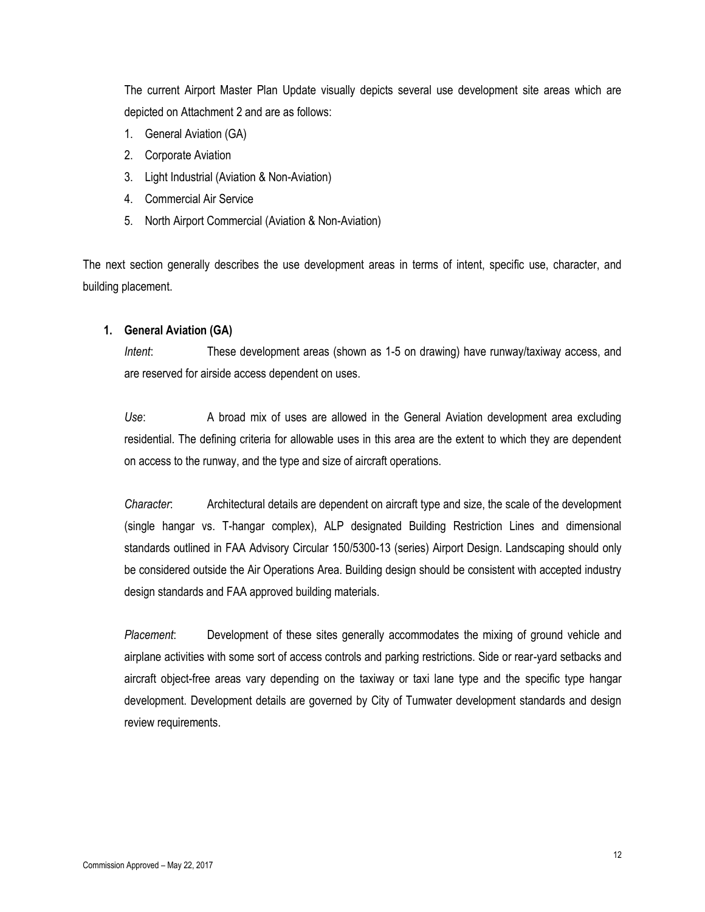The current Airport Master Plan Update visually depicts several use development site areas which are depicted on Attachment 2 and are as follows:

- 1. General Aviation (GA)
- 2. Corporate Aviation
- 3. Light Industrial (Aviation & Non-Aviation)
- 4. Commercial Air Service
- 5. North Airport Commercial (Aviation & Non-Aviation)

The next section generally describes the use development areas in terms of intent, specific use, character, and building placement.

#### **1. General Aviation (GA)**

*Intent*: These development areas (shown as 1-5 on drawing) have runway/taxiway access, and are reserved for airside access dependent on uses.

*Use*: A broad mix of uses are allowed in the General Aviation development area excluding residential. The defining criteria for allowable uses in this area are the extent to which they are dependent on access to the runway, and the type and size of aircraft operations.

*Character*: Architectural details are dependent on aircraft type and size, the scale of the development (single hangar vs. T-hangar complex), ALP designated Building Restriction Lines and dimensional standards outlined in FAA Advisory Circular 150/5300-13 (series) Airport Design. Landscaping should only be considered outside the Air Operations Area. Building design should be consistent with accepted industry design standards and FAA approved building materials.

*Placement*: Development of these sites generally accommodates the mixing of ground vehicle and airplane activities with some sort of access controls and parking restrictions. Side or rear-yard setbacks and aircraft object-free areas vary depending on the taxiway or taxi lane type and the specific type hangar development. Development details are governed by City of Tumwater development standards and design review requirements.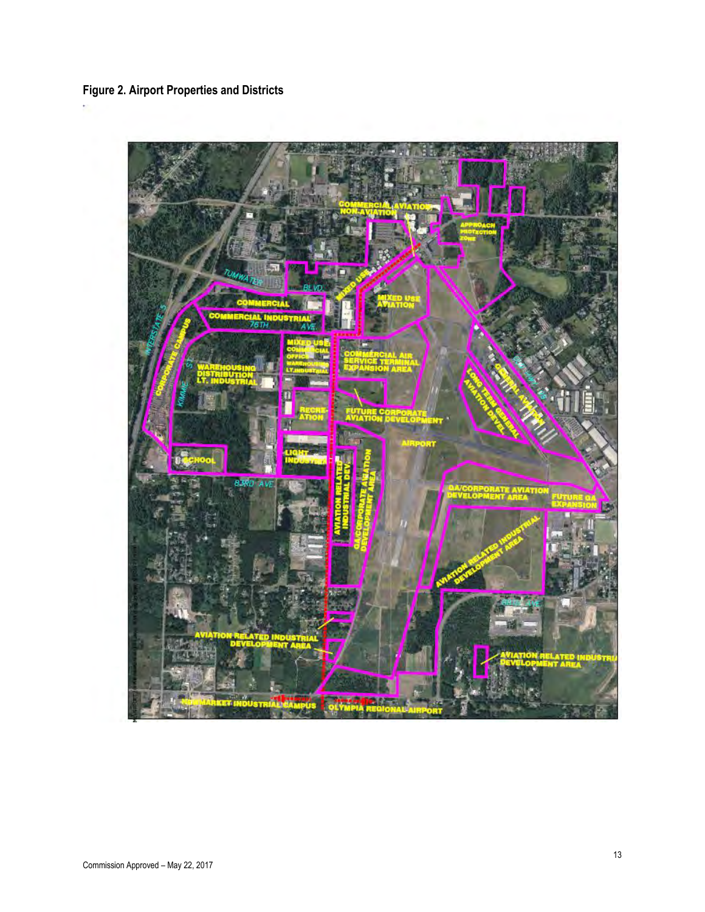# **Figure 2. Airport Properties and Districts**

 $\overline{\phantom{a}}$ 

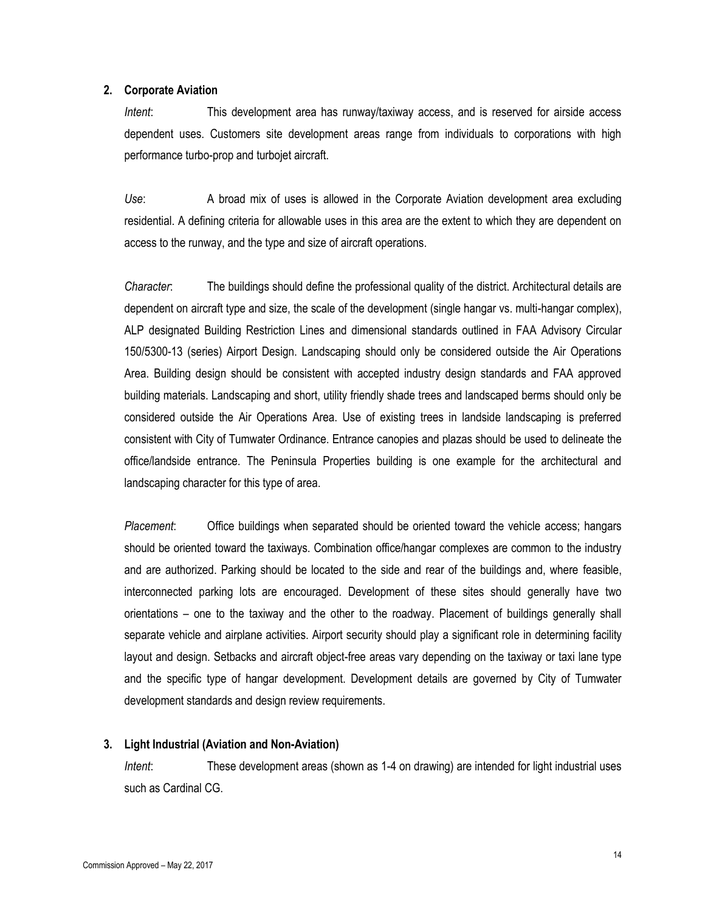#### **2. Corporate Aviation**

*Intent*: This development area has runway/taxiway access, and is reserved for airside access dependent uses. Customers site development areas range from individuals to corporations with high performance turbo-prop and turbojet aircraft.

*Use*: A broad mix of uses is allowed in the Corporate Aviation development area excluding residential. A defining criteria for allowable uses in this area are the extent to which they are dependent on access to the runway, and the type and size of aircraft operations.

*Character*: The buildings should define the professional quality of the district. Architectural details are dependent on aircraft type and size, the scale of the development (single hangar vs. multi-hangar complex), ALP designated Building Restriction Lines and dimensional standards outlined in FAA Advisory Circular 150/5300-13 (series) Airport Design. Landscaping should only be considered outside the Air Operations Area. Building design should be consistent with accepted industry design standards and FAA approved building materials. Landscaping and short, utility friendly shade trees and landscaped berms should only be considered outside the Air Operations Area. Use of existing trees in landside landscaping is preferred consistent with City of Tumwater Ordinance. Entrance canopies and plazas should be used to delineate the office/landside entrance. The Peninsula Properties building is one example for the architectural and landscaping character for this type of area.

*Placement*: Office buildings when separated should be oriented toward the vehicle access; hangars should be oriented toward the taxiways. Combination office/hangar complexes are common to the industry and are authorized. Parking should be located to the side and rear of the buildings and, where feasible, interconnected parking lots are encouraged. Development of these sites should generally have two orientations – one to the taxiway and the other to the roadway. Placement of buildings generally shall separate vehicle and airplane activities. Airport security should play a significant role in determining facility layout and design. Setbacks and aircraft object-free areas vary depending on the taxiway or taxi lane type and the specific type of hangar development. Development details are governed by City of Tumwater development standards and design review requirements.

#### **3. Light Industrial (Aviation and Non-Aviation)**

*Intent*: These development areas (shown as 1-4 on drawing) are intended for light industrial uses such as Cardinal CG.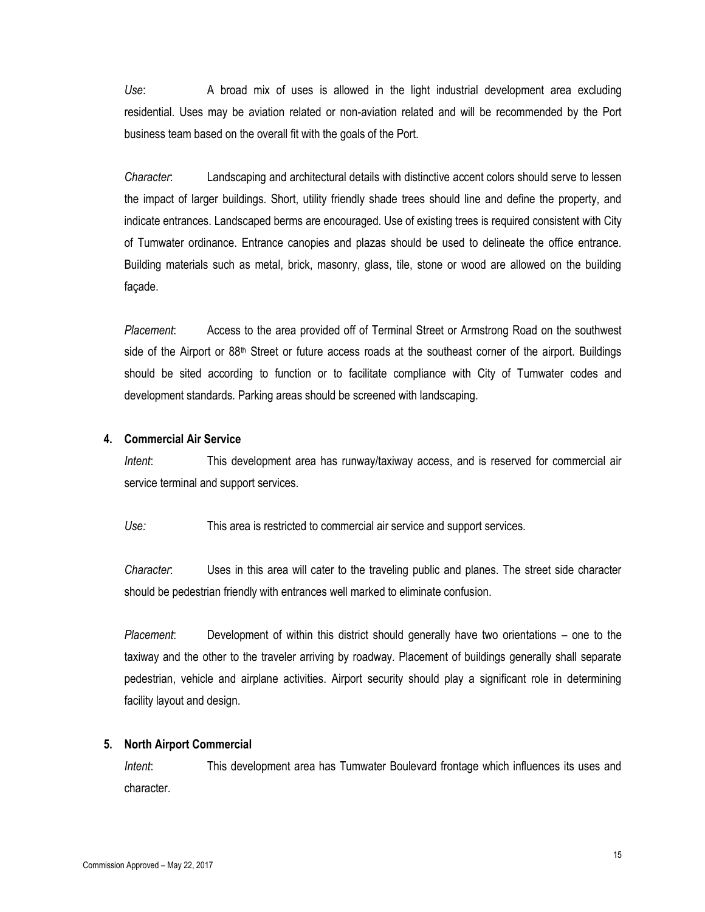*Use*: A broad mix of uses is allowed in the light industrial development area excluding residential. Uses may be aviation related or non-aviation related and will be recommended by the Port business team based on the overall fit with the goals of the Port.

*Character*: Landscaping and architectural details with distinctive accent colors should serve to lessen the impact of larger buildings. Short, utility friendly shade trees should line and define the property, and indicate entrances. Landscaped berms are encouraged. Use of existing trees is required consistent with City of Tumwater ordinance. Entrance canopies and plazas should be used to delineate the office entrance. Building materials such as metal, brick, masonry, glass, tile, stone or wood are allowed on the building façade.

*Placement*: Access to the area provided off of Terminal Street or Armstrong Road on the southwest side of the Airport or 88<sup>th</sup> Street or future access roads at the southeast corner of the airport. Buildings should be sited according to function or to facilitate compliance with City of Tumwater codes and development standards. Parking areas should be screened with landscaping.

#### **4. Commercial Air Service**

*Intent*: This development area has runway/taxiway access, and is reserved for commercial air service terminal and support services.

*Use:* This area is restricted to commercial air service and support services.

*Character*: Uses in this area will cater to the traveling public and planes. The street side character should be pedestrian friendly with entrances well marked to eliminate confusion.

*Placement*: Development of within this district should generally have two orientations – one to the taxiway and the other to the traveler arriving by roadway. Placement of buildings generally shall separate pedestrian, vehicle and airplane activities. Airport security should play a significant role in determining facility layout and design.

#### **5. North Airport Commercial**

*Intent*: This development area has Tumwater Boulevard frontage which influences its uses and character.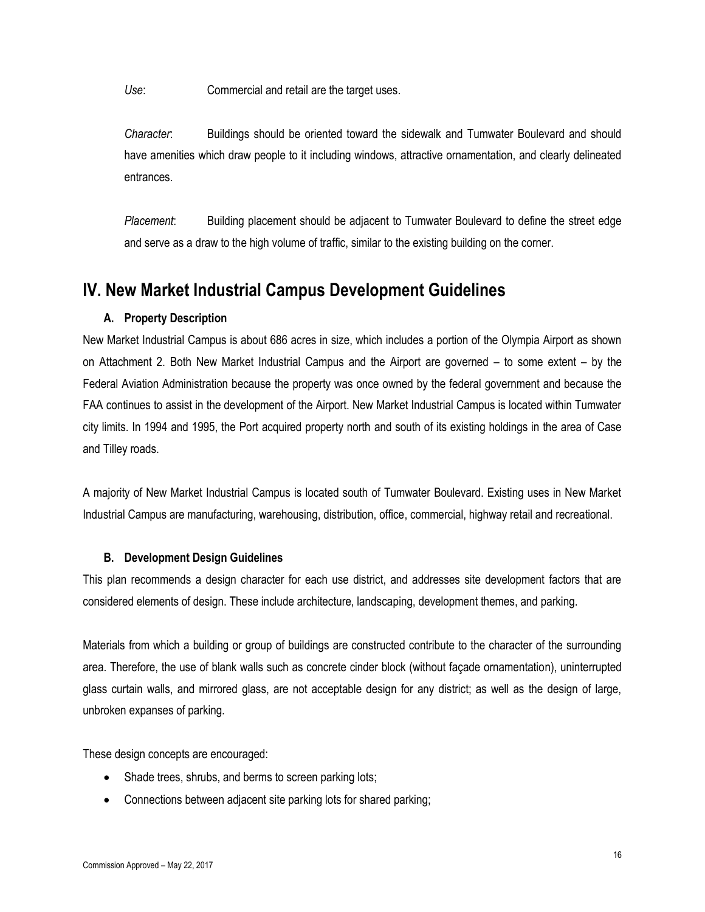*Use*: Commercial and retail are the target uses.

*Character*: Buildings should be oriented toward the sidewalk and Tumwater Boulevard and should have amenities which draw people to it including windows, attractive ornamentation, and clearly delineated entrances.

*Placement*: Building placement should be adjacent to Tumwater Boulevard to define the street edge and serve as a draw to the high volume of traffic, similar to the existing building on the corner.

# **IV. New Market Industrial Campus Development Guidelines**

# **A. Property Description**

New Market Industrial Campus is about 686 acres in size, which includes a portion of the Olympia Airport as shown on Attachment 2. Both New Market Industrial Campus and the Airport are governed – to some extent – by the Federal Aviation Administration because the property was once owned by the federal government and because the FAA continues to assist in the development of the Airport. New Market Industrial Campus is located within Tumwater city limits. In 1994 and 1995, the Port acquired property north and south of its existing holdings in the area of Case and Tilley roads.

A majority of New Market Industrial Campus is located south of Tumwater Boulevard. Existing uses in New Market Industrial Campus are manufacturing, warehousing, distribution, office, commercial, highway retail and recreational.

### **B. Development Design Guidelines**

This plan recommends a design character for each use district, and addresses site development factors that are considered elements of design. These include architecture, landscaping, development themes, and parking.

Materials from which a building or group of buildings are constructed contribute to the character of the surrounding area. Therefore, the use of blank walls such as concrete cinder block (without façade ornamentation), uninterrupted glass curtain walls, and mirrored glass, are not acceptable design for any district; as well as the design of large, unbroken expanses of parking.

These design concepts are encouraged:

- Shade trees, shrubs, and berms to screen parking lots;
- Connections between adjacent site parking lots for shared parking;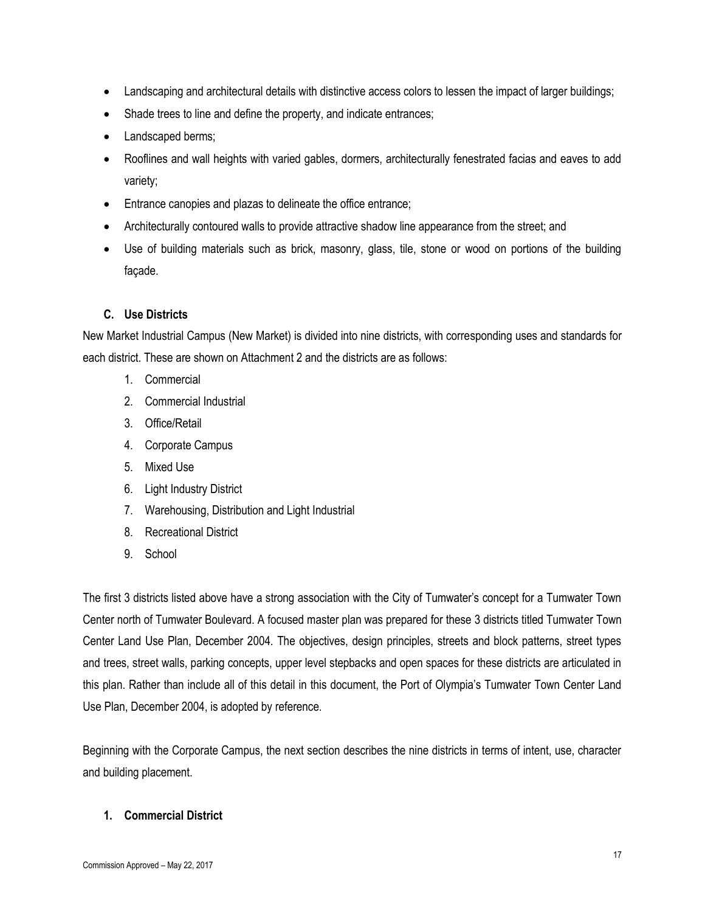- Landscaping and architectural details with distinctive access colors to lessen the impact of larger buildings;
- Shade trees to line and define the property, and indicate entrances;
- Landscaped berms:
- Rooflines and wall heights with varied gables, dormers, architecturally fenestrated facias and eaves to add variety;
- Entrance canopies and plazas to delineate the office entrance;
- Architecturally contoured walls to provide attractive shadow line appearance from the street; and
- Use of building materials such as brick, masonry, glass, tile, stone or wood on portions of the building façade.

### **C. Use Districts**

New Market Industrial Campus (New Market) is divided into nine districts, with corresponding uses and standards for each district. These are shown on Attachment 2 and the districts are as follows:

- 1. Commercial
- 2. Commercial Industrial
- 3. Office/Retail
- 4. Corporate Campus
- 5. Mixed Use
- 6. Light Industry District
- 7. Warehousing, Distribution and Light Industrial
- 8. Recreational District
- 9. School

The first 3 districts listed above have a strong association with the City of Tumwater's concept for a Tumwater Town Center north of Tumwater Boulevard. A focused master plan was prepared for these 3 districts titled Tumwater Town Center Land Use Plan, December 2004. The objectives, design principles, streets and block patterns, street types and trees, street walls, parking concepts, upper level stepbacks and open spaces for these districts are articulated in this plan. Rather than include all of this detail in this document, the Port of Olympia's Tumwater Town Center Land Use Plan, December 2004, is adopted by reference.

Beginning with the Corporate Campus, the next section describes the nine districts in terms of intent, use, character and building placement.

#### **1. Commercial District**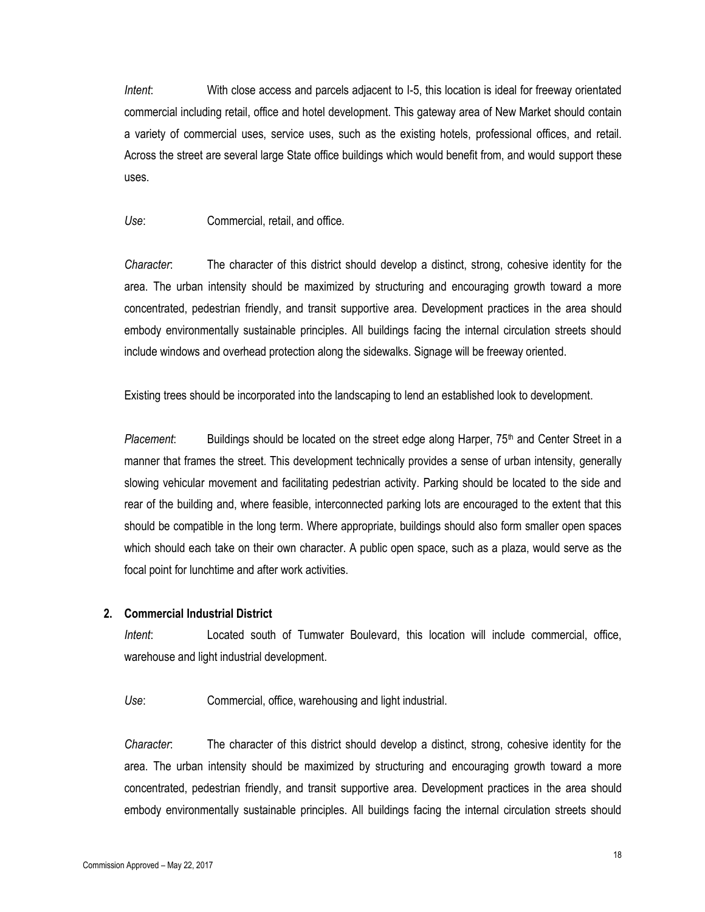*Intent*: With close access and parcels adjacent to I-5, this location is ideal for freeway orientated commercial including retail, office and hotel development. This gateway area of New Market should contain a variety of commercial uses, service uses, such as the existing hotels, professional offices, and retail. Across the street are several large State office buildings which would benefit from, and would support these uses.

#### *Use*: Commercial, retail, and office.

*Character*: The character of this district should develop a distinct, strong, cohesive identity for the area. The urban intensity should be maximized by structuring and encouraging growth toward a more concentrated, pedestrian friendly, and transit supportive area. Development practices in the area should embody environmentally sustainable principles. All buildings facing the internal circulation streets should include windows and overhead protection along the sidewalks. Signage will be freeway oriented.

Existing trees should be incorporated into the landscaping to lend an established look to development.

Placement: Buildings should be located on the street edge along Harper, 75<sup>th</sup> and Center Street in a manner that frames the street. This development technically provides a sense of urban intensity, generally slowing vehicular movement and facilitating pedestrian activity. Parking should be located to the side and rear of the building and, where feasible, interconnected parking lots are encouraged to the extent that this should be compatible in the long term. Where appropriate, buildings should also form smaller open spaces which should each take on their own character. A public open space, such as a plaza, would serve as the focal point for lunchtime and after work activities.

#### **2. Commercial Industrial District**

*Intent*: Located south of Tumwater Boulevard, this location will include commercial, office, warehouse and light industrial development.

*Use*: Commercial, office, warehousing and light industrial.

*Character*: The character of this district should develop a distinct, strong, cohesive identity for the area. The urban intensity should be maximized by structuring and encouraging growth toward a more concentrated, pedestrian friendly, and transit supportive area. Development practices in the area should embody environmentally sustainable principles. All buildings facing the internal circulation streets should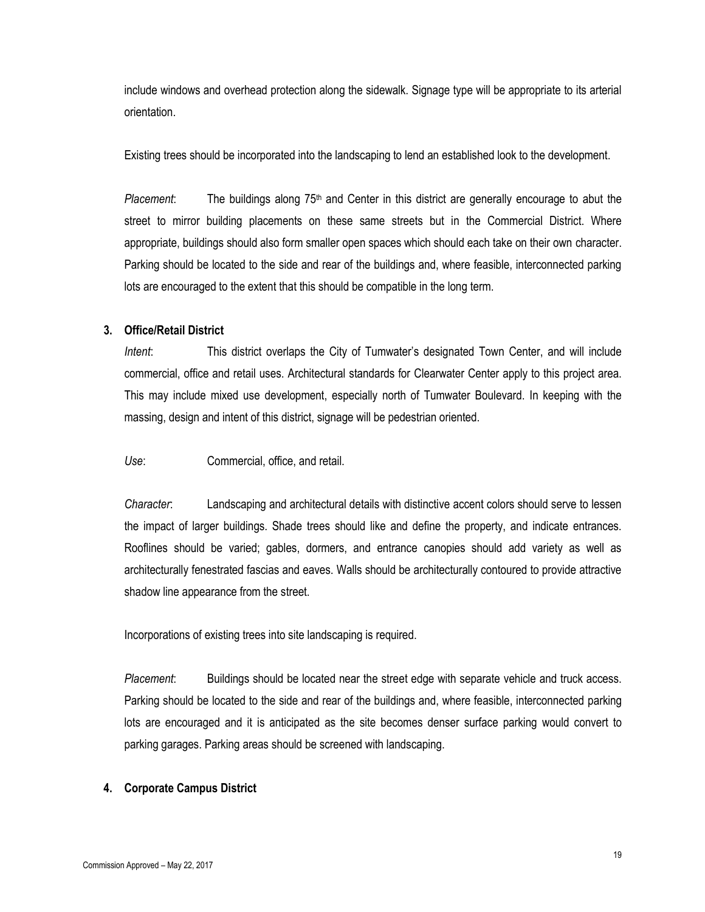include windows and overhead protection along the sidewalk. Signage type will be appropriate to its arterial orientation.

Existing trees should be incorporated into the landscaping to lend an established look to the development.

*Placement*: The buildings along 75<sup>th</sup> and Center in this district are generally encourage to abut the street to mirror building placements on these same streets but in the Commercial District. Where appropriate, buildings should also form smaller open spaces which should each take on their own character. Parking should be located to the side and rear of the buildings and, where feasible, interconnected parking lots are encouraged to the extent that this should be compatible in the long term.

#### **3. Office/Retail District**

*Intent*: This district overlaps the City of Tumwater's designated Town Center, and will include commercial, office and retail uses. Architectural standards for Clearwater Center apply to this project area. This may include mixed use development, especially north of Tumwater Boulevard. In keeping with the massing, design and intent of this district, signage will be pedestrian oriented.

*Use*: Commercial, office, and retail.

*Character*: Landscaping and architectural details with distinctive accent colors should serve to lessen the impact of larger buildings. Shade trees should like and define the property, and indicate entrances. Rooflines should be varied; gables, dormers, and entrance canopies should add variety as well as architecturally fenestrated fascias and eaves. Walls should be architecturally contoured to provide attractive shadow line appearance from the street.

Incorporations of existing trees into site landscaping is required.

*Placement*: Buildings should be located near the street edge with separate vehicle and truck access. Parking should be located to the side and rear of the buildings and, where feasible, interconnected parking lots are encouraged and it is anticipated as the site becomes denser surface parking would convert to parking garages. Parking areas should be screened with landscaping.

### **4. Corporate Campus District**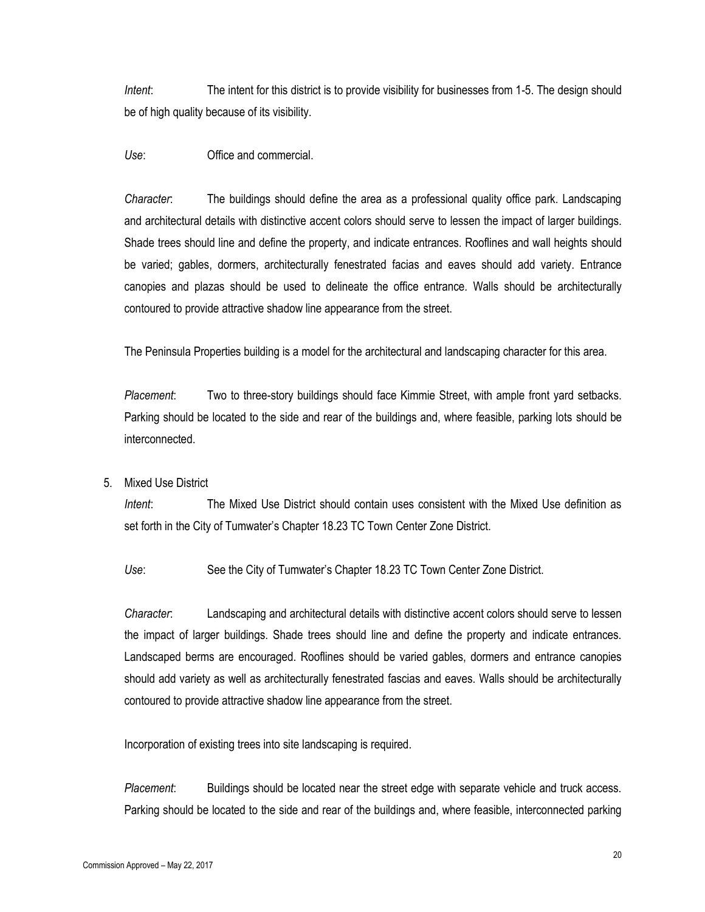*Intent*: The intent for this district is to provide visibility for businesses from 1-5. The design should be of high quality because of its visibility.

*Use*: Office and commercial.

*Character*: The buildings should define the area as a professional quality office park. Landscaping and architectural details with distinctive accent colors should serve to lessen the impact of larger buildings. Shade trees should line and define the property, and indicate entrances. Rooflines and wall heights should be varied; gables, dormers, architecturally fenestrated facias and eaves should add variety. Entrance canopies and plazas should be used to delineate the office entrance. Walls should be architecturally contoured to provide attractive shadow line appearance from the street.

The Peninsula Properties building is a model for the architectural and landscaping character for this area.

*Placement*: Two to three-story buildings should face Kimmie Street, with ample front yard setbacks. Parking should be located to the side and rear of the buildings and, where feasible, parking lots should be interconnected.

5. Mixed Use District

*Intent*: The Mixed Use District should contain uses consistent with the Mixed Use definition as set forth in the City of Tumwater's Chapter 18.23 TC Town Center Zone District.

*Use*: See the City of Tumwater's Chapter 18.23 TC Town Center Zone District.

*Character*: Landscaping and architectural details with distinctive accent colors should serve to lessen the impact of larger buildings. Shade trees should line and define the property and indicate entrances. Landscaped berms are encouraged. Rooflines should be varied gables, dormers and entrance canopies should add variety as well as architecturally fenestrated fascias and eaves. Walls should be architecturally contoured to provide attractive shadow line appearance from the street.

Incorporation of existing trees into site landscaping is required.

*Placement*: Buildings should be located near the street edge with separate vehicle and truck access. Parking should be located to the side and rear of the buildings and, where feasible, interconnected parking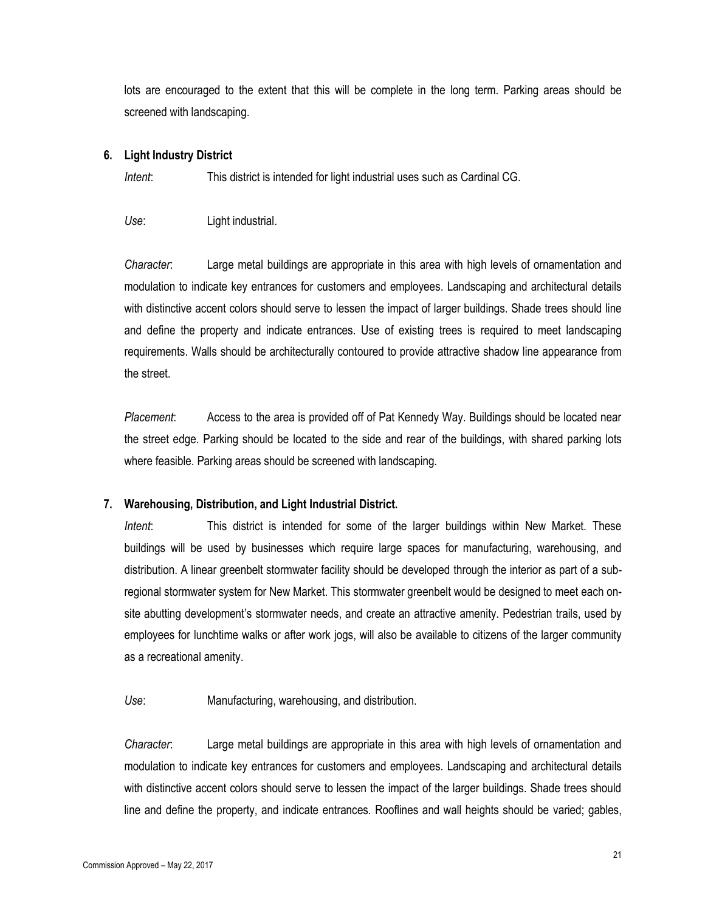lots are encouraged to the extent that this will be complete in the long term. Parking areas should be screened with landscaping.

#### **6. Light Industry District**

*Intent*: This district is intended for light industrial uses such as Cardinal CG.

*Use*: Light industrial.

*Character*: Large metal buildings are appropriate in this area with high levels of ornamentation and modulation to indicate key entrances for customers and employees. Landscaping and architectural details with distinctive accent colors should serve to lessen the impact of larger buildings. Shade trees should line and define the property and indicate entrances. Use of existing trees is required to meet landscaping requirements. Walls should be architecturally contoured to provide attractive shadow line appearance from the street.

*Placement*: Access to the area is provided off of Pat Kennedy Way. Buildings should be located near the street edge. Parking should be located to the side and rear of the buildings, with shared parking lots where feasible. Parking areas should be screened with landscaping.

### **7. Warehousing, Distribution, and Light Industrial District.**

*Intent*: This district is intended for some of the larger buildings within New Market. These buildings will be used by businesses which require large spaces for manufacturing, warehousing, and distribution. A linear greenbelt stormwater facility should be developed through the interior as part of a subregional stormwater system for New Market. This stormwater greenbelt would be designed to meet each onsite abutting development's stormwater needs, and create an attractive amenity. Pedestrian trails, used by employees for lunchtime walks or after work jogs, will also be available to citizens of the larger community as a recreational amenity.

*Use*: Manufacturing, warehousing, and distribution.

*Character*: Large metal buildings are appropriate in this area with high levels of ornamentation and modulation to indicate key entrances for customers and employees. Landscaping and architectural details with distinctive accent colors should serve to lessen the impact of the larger buildings. Shade trees should line and define the property, and indicate entrances. Rooflines and wall heights should be varied; gables,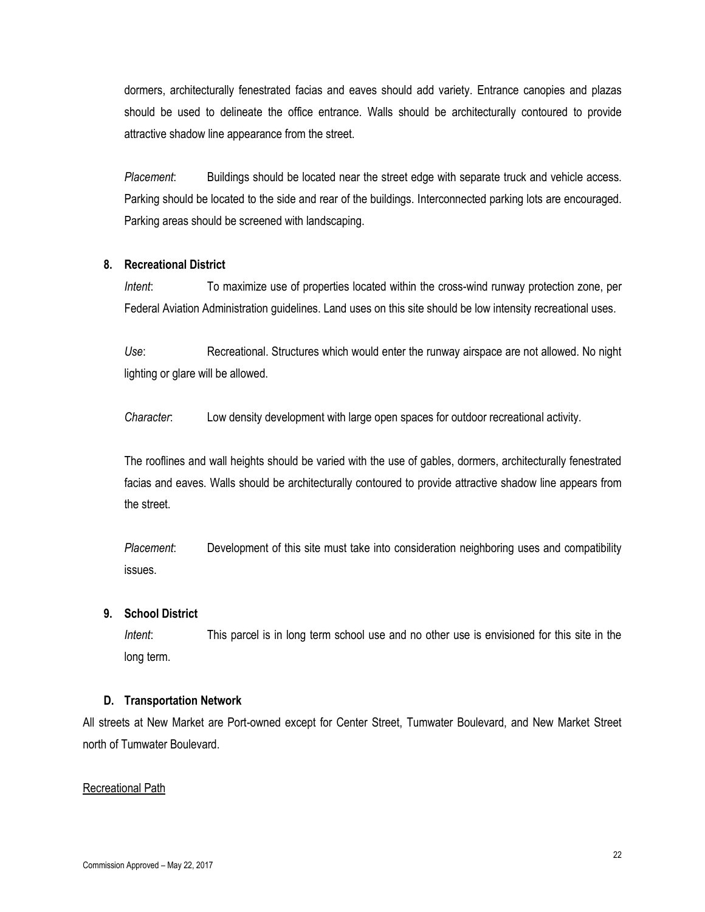dormers, architecturally fenestrated facias and eaves should add variety. Entrance canopies and plazas should be used to delineate the office entrance. Walls should be architecturally contoured to provide attractive shadow line appearance from the street.

*Placement*: Buildings should be located near the street edge with separate truck and vehicle access. Parking should be located to the side and rear of the buildings. Interconnected parking lots are encouraged. Parking areas should be screened with landscaping.

#### **8. Recreational District**

*Intent*: To maximize use of properties located within the cross-wind runway protection zone, per Federal Aviation Administration guidelines. Land uses on this site should be low intensity recreational uses.

*Use*: Recreational. Structures which would enter the runway airspace are not allowed. No night lighting or glare will be allowed.

*Character*: Low density development with large open spaces for outdoor recreational activity.

The rooflines and wall heights should be varied with the use of gables, dormers, architecturally fenestrated facias and eaves. Walls should be architecturally contoured to provide attractive shadow line appears from the street.

*Placement*: Development of this site must take into consideration neighboring uses and compatibility issues.

#### **9. School District**

*Intent*: This parcel is in long term school use and no other use is envisioned for this site in the long term.

#### **D. Transportation Network**

All streets at New Market are Port-owned except for Center Street, Tumwater Boulevard, and New Market Street north of Tumwater Boulevard.

#### Recreational Path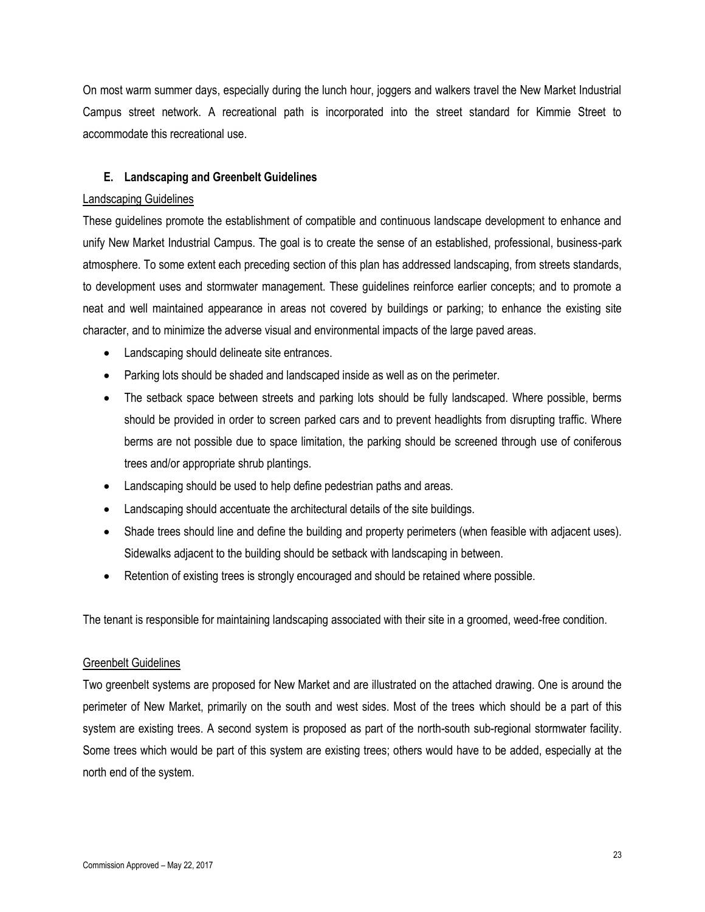On most warm summer days, especially during the lunch hour, joggers and walkers travel the New Market Industrial Campus street network. A recreational path is incorporated into the street standard for Kimmie Street to accommodate this recreational use.

#### **E. Landscaping and Greenbelt Guidelines**

#### Landscaping Guidelines

These guidelines promote the establishment of compatible and continuous landscape development to enhance and unify New Market Industrial Campus. The goal is to create the sense of an established, professional, business-park atmosphere. To some extent each preceding section of this plan has addressed landscaping, from streets standards, to development uses and stormwater management. These guidelines reinforce earlier concepts; and to promote a neat and well maintained appearance in areas not covered by buildings or parking; to enhance the existing site character, and to minimize the adverse visual and environmental impacts of the large paved areas.

- Landscaping should delineate site entrances.
- Parking lots should be shaded and landscaped inside as well as on the perimeter.
- The setback space between streets and parking lots should be fully landscaped. Where possible, berms should be provided in order to screen parked cars and to prevent headlights from disrupting traffic. Where berms are not possible due to space limitation, the parking should be screened through use of coniferous trees and/or appropriate shrub plantings.
- Landscaping should be used to help define pedestrian paths and areas.
- Landscaping should accentuate the architectural details of the site buildings.
- Shade trees should line and define the building and property perimeters (when feasible with adjacent uses). Sidewalks adjacent to the building should be setback with landscaping in between.
- Retention of existing trees is strongly encouraged and should be retained where possible.

The tenant is responsible for maintaining landscaping associated with their site in a groomed, weed-free condition.

#### Greenbelt Guidelines

Two greenbelt systems are proposed for New Market and are illustrated on the attached drawing. One is around the perimeter of New Market, primarily on the south and west sides. Most of the trees which should be a part of this system are existing trees. A second system is proposed as part of the north-south sub-regional stormwater facility. Some trees which would be part of this system are existing trees; others would have to be added, especially at the north end of the system.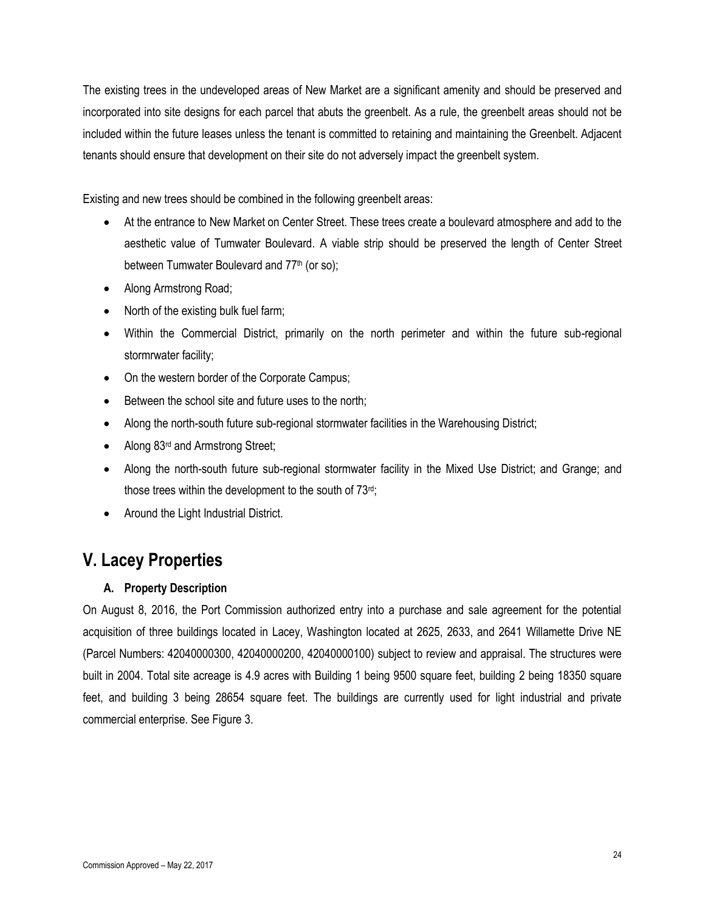The existing trees in the undeveloped areas of New Market are a significant amenity and should be preserved and incorporated into site designs for each parcel that abuts the greenbelt. As a rule, the greenbelt areas should not be included within the future leases unless the tenant is committed to retaining and maintaining the Greenbelt. Adjacent tenants should ensure that development on their site do not adversely impact the greenbelt system.

Existing and new trees should be combined in the following greenbelt areas:

- At the entrance to New Market on Center Street. These trees create a boulevard atmosphere and add to the aesthetic value of Tumwater Boulevard. A viable strip should be preserved the length of Center Street between Tumwater Boulevard and 77<sup>th</sup> (or so);
- Along Armstrong Road;
- North of the existing bulk fuel farm;
- Within the Commercial District, primarily on the north perimeter and within the future sub-regional stormrwater facility;
- On the western border of the Corporate Campus;
- $\bullet$  Between the school site and future uses to the north;
- Along the north-south future sub-regional stormwater facilities in the Warehousing District;
- Along 83<sup>rd</sup> and Armstrong Street;
- Along the north-south future sub-regional stormwater facility in the Mixed Use District; and Grange; and those trees within the development to the south of  $73<sup>rd</sup>$ ;
- Around the Light Industrial District.

# **V. Lacey Properties**

### **A. Property Description**

On August 8, 2016, the Port Commission authorized entry into a purchase and sale agreement for the potential acquisition of three buildings located in Lacey, Washington located at 2625, 2633, and 2641 Willamette Drive NE (Parcel Numbers: 42040000300, 42040000200, 42040000100) subject to review and appraisal. The structures were built in 2004. Total site acreage is 4.9 acres with Building 1 being 9500 square feet, building 2 being 18350 square feet, and building 3 being 28654 square feet. The buildings are currently used for light industrial and private commercial enterprise. See Figure 3.